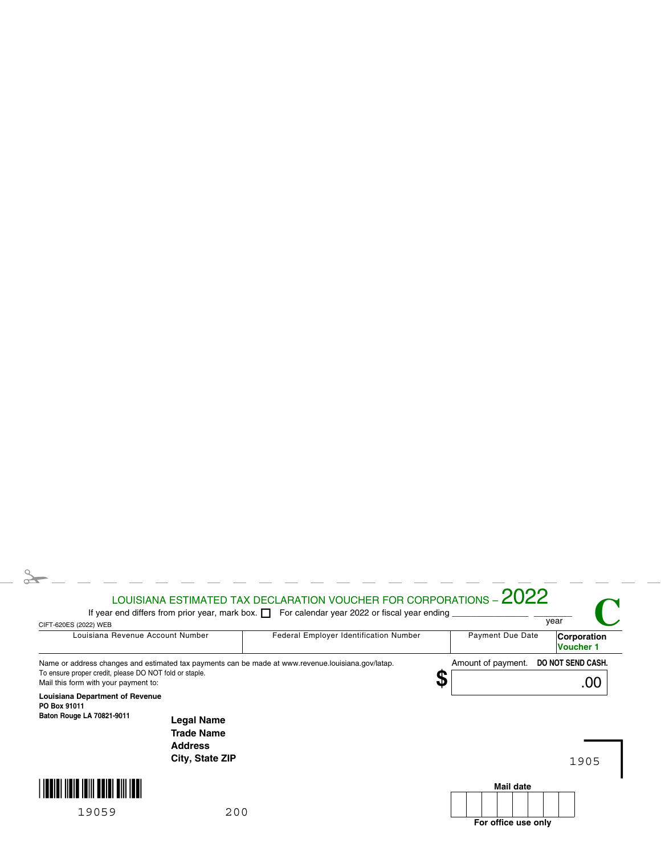## $\geq$ LOUISIANA ESTIMATED TAX DECLARATION VOUCHER FOR CORPORATIONS –  $2022$ **C** If year end differs from prior year, mark box.  $\Box$  For calendar year 2022 or fiscal year ending  $\Box$ CIFT-620ES (2022) WEB<br>CIFT-620ES (2022) WEB Louisiana Revenue Account Number | Federal Employer Identification Number | Payment Due Date **Corporation Voucher 1** Amount of payment. **DO NOT SEND CASH.** Name or address changes and estimated tax payments can be made at www.revenue.louisiana.gov/latap. To ensure proper credit, please DO NOT fold or staple. **\$** .00 Mail this form with your payment to: **Louisiana Department of Revenue PO Box 91011 Baton Rouge LA 70821-9011 Legal Name Trade Name Address City, State ZIP**1905 **THEIR HEIR HILL BEIRT BILL INE Mail date** 19059 200 **For office use only**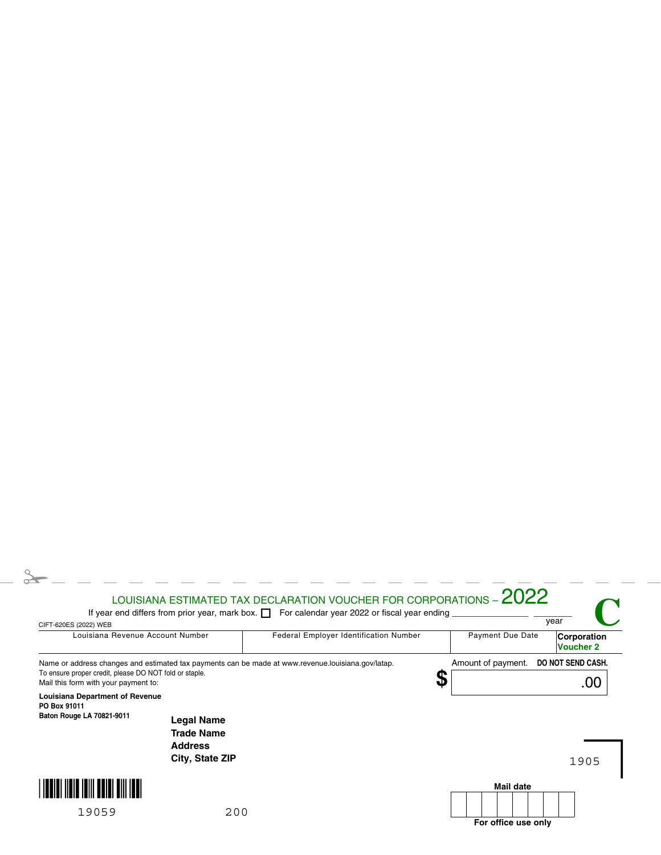## $\geq$ LOUISIANA ESTIMATED TAX DECLARATION VOUCHER FOR CORPORATIONS –  $2022$ **C** If year end differs from prior year, mark box.  $\Box$  For calendar year 2022 or fiscal year ending  $\Box$ CIFT-620ES (2022) WEB<br>CIFT-620ES (2022) WEB Louisiana Revenue Account Number | Federal Employer Identification Number | Payment Due Date **Corporation Voucher 2** Amount of payment. **DO NOT SEND CASH.** Name or address changes and estimated tax payments can be made at www.revenue.louisiana.gov/latap. To ensure proper credit, please DO NOT fold or staple. **\$** .00 Mail this form with your payment to: **Louisiana Department of Revenue PO Box 91011 Baton Rouge LA 70821-9011 Legal Name Trade Name Address City, State ZIP**1905 **THEIR HEIR HILL BEIRT BILL INE Mail date** 19059 200 **For office use only**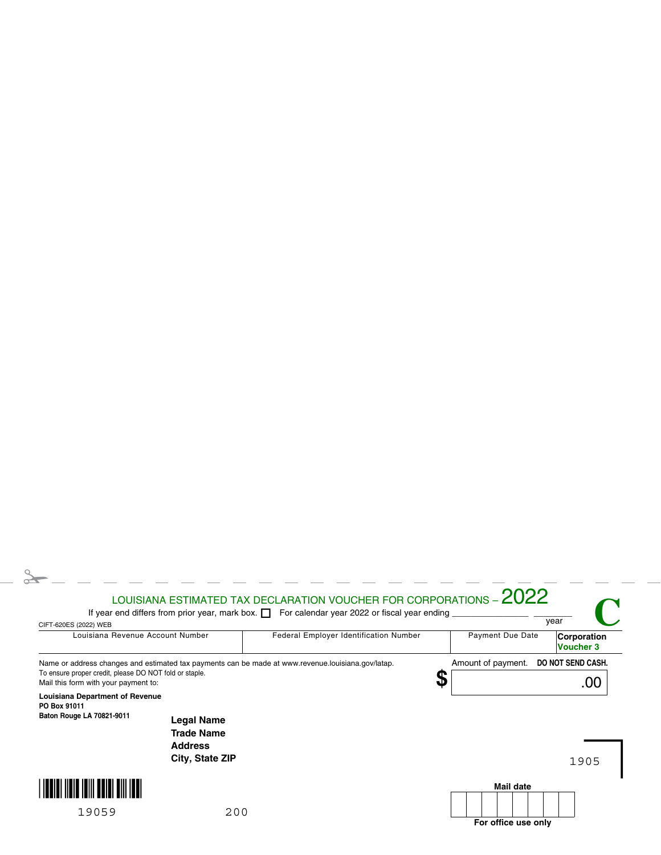## $\geq$ LOUISIANA ESTIMATED TAX DECLARATION VOUCHER FOR CORPORATIONS –  $2022$ **C** If year end differs from prior year, mark box.  $\Box$  For calendar year 2022 or fiscal year ending  $\Box$ CIFT-620ES (2022) WEB<br>CIFT-620ES (2022) WEB Louisiana Revenue Account Number | Federal Employer Identification Number | Payment Due Date **Corporation Voucher 3** Amount of payment. **DO NOT SEND CASH.** Name or address changes and estimated tax payments can be made at www.revenue.louisiana.gov/latap. To ensure proper credit, please DO NOT fold or staple. **\$** .00 Mail this form with your payment to: **Louisiana Department of Revenue PO Box 91011 Baton Rouge LA 70821-9011 Legal Name Trade Name Address City, State ZIP**1905 **THEIR HEIR HILL BEIRT BILL INE Mail date** 19059 200 **For office use only**